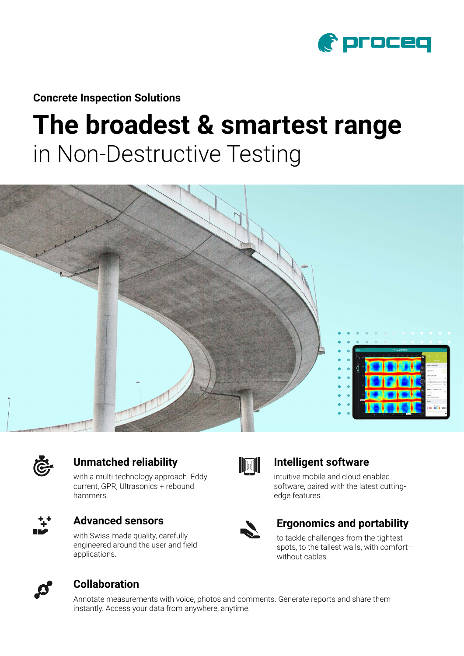

**Concrete Inspection Solutions**

# **The broadest & smartest range** in Non-Destructive Testing





### **Unmatched reliability**

with a multi-technology approach. Eddy current, GPR, Ultrasonics + rebound hammers.



#### **Advanced sensors**

with Swiss-made quality, carefully engineered around the user and field applications.



#### **Intelligent software**

intuitive mobile and cloud-enabled software, paired with the latest cuttingedge features.



#### **Ergonomics and portability**

to tackle challenges from the tightest spots, to the tallest walls, with comfort without cables.



#### **Collaboration**

Annotate measurements with voice, photos and comments. Generate reports and share them instantly. Access your data from anywhere, anytime.